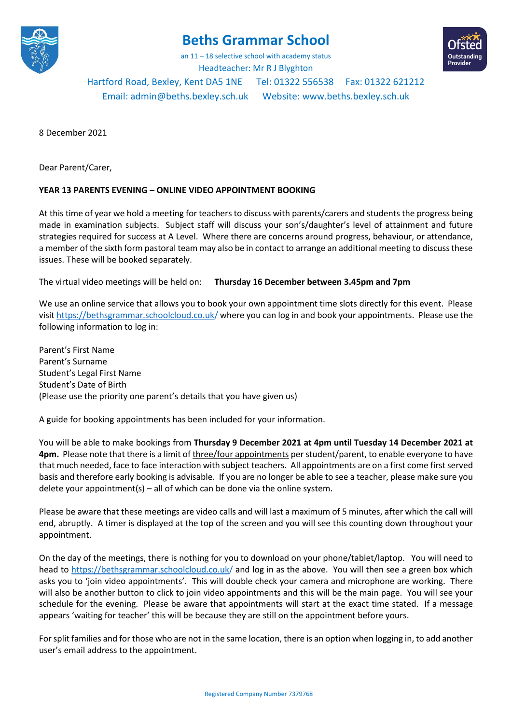

## **Beths Grammar School**

an 11 – 18 selective school with academy status Headteacher: Mr R J Blyghton

Hartford Road, Bexley, Kent DA5 1NE Tel: 01322 556538 Fax: 01322 621212 Email[: admin@beths.bexley.sch.uk](mailto:admin@beths.bexley.sch.uk) Website: [www.beths.bexley.sch.uk](http://www.beths.bexley.sch.uk/)

8 December 2021

Dear Parent/Carer,

## **YEAR 13 PARENTS EVENING – ONLINE VIDEO APPOINTMENT BOOKING**

At this time of year we hold a meeting for teachers to discuss with parents/carers and students the progress being made in examination subjects. Subject staff will discuss your son's/daughter's level of attainment and future strategies required for success at A Level. Where there are concerns around progress, behaviour, or attendance, a member of the sixth form pastoral team may also be in contact to arrange an additional meeting to discuss these issues. These will be booked separately.

The virtual video meetings will be held on: **Thursday 16 December between 3.45pm and 7pm**

We use an online service that allows you to book your own appointment time slots directly for this event. Please visit https://bethsgrammar.schoolcloud.co.uk/ where you can log in and book your appointments. Please use the following information to log in:

Parent's First Name Parent's Surname Student's Legal First Name Student's Date of Birth (Please use the priority one parent's details that you have given us)

A guide for booking appointments has been included for your information.

You will be able to make bookings from **Thursday 9 December 2021 at 4pm until Tuesday 14 December 2021 at 4pm.** Please note that there is a limit of three/four appointments per student/parent, to enable everyone to have that much needed, face to face interaction with subject teachers. All appointments are on a first come first served basis and therefore early booking is advisable. If you are no longer be able to see a teacher, please make sure you delete your appointment(s) – all of which can be done via the online system.

Please be aware that these meetings are video calls and will last a maximum of 5 minutes, after which the call will end, abruptly. A timer is displayed at the top of the screen and you will see this counting down throughout your appointment.

On the day of the meetings, there is nothing for you to download on your phone/tablet/laptop. You will need to head to https://bethsgrammar.schoolcloud.co.uk/ and log in as the above. You will then see a green box which asks you to 'join video appointments'. This will double check your camera and microphone are working. There will also be another button to click to join video appointments and this will be the main page. You will see your schedule for the evening. Please be aware that appointments will start at the exact time stated. If a message appears 'waiting for teacher' this will be because they are still on the appointment before yours.

For split families and for those who are not in the same location, there is an option when logging in, to add another user's email address to the appointment.